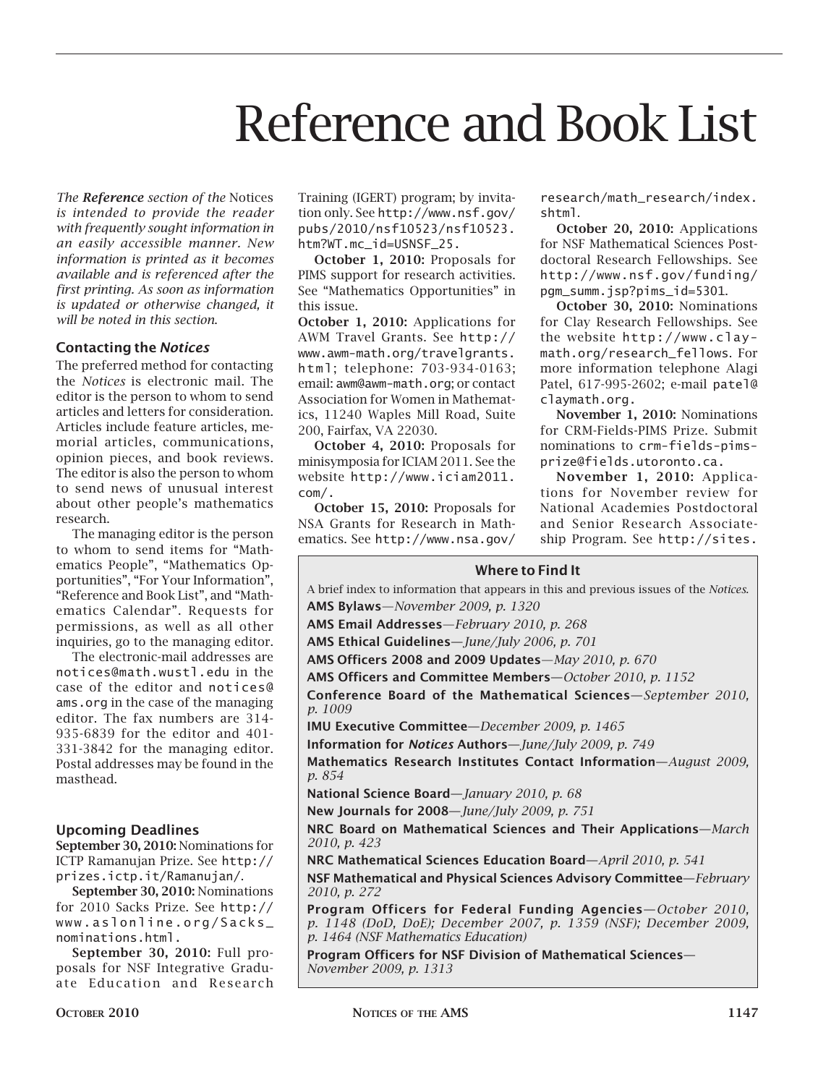# Reference and Book List

*The Reference section of the* Notices *is intended to provide the reader with frequently sought information in an easily accessible manner. New information is printed as it becomes available and is referenced after the first printing. As soon as information is updated or otherwise changed, it will be noted in this section*.

# **Contacting the** *Notices*

The preferred method for contacting the *Notices* is electronic mail. The editor is the person to whom to send articles and letters for consideration. Articles include feature articles, memorial articles, communications, opinion pieces, and book reviews. The editor is also the person to whom to send news of unusual interest about other people's mathematics research.

The managing editor is the person to whom to send items for "Mathematics People", "Mathematics Opportunities", "For Your Information", "Reference and Book List", and "Mathematics Calendar". Requests for permissions, as well as all other inquiries, go to the managing editor.

The electronic-mail addresses are notices@math.wustl.edu in the case of the editor and notices@ ams.org in the case of the managing editor. The fax numbers are 314- 935-6839 for the editor and 401- 331-3842 for the managing editor. Postal addresses may be found in the masthead.

## **Upcoming Deadlines**

**September 30, 2010:** Nominations for ICTP Ramanujan Prize. See http:// prizes.ictp.it/Ramanujan/.

**September 30, 2010:** Nominations for 2010 Sacks Prize. See http:// www.aslonline.org/Sacks\_ nominations.html.

**September 30, 2010:** Full proposals for NSF Integrative Graduate Education and Research

Training (IGERT) program; by invitation only. See http://www.nsf.gov/ pubs/2010/nsf10523/nsf10523. htm?WT.mc\_id=USNSF\_25.

**October 1, 2010:** Proposals for PIMS support for research activities. See "Mathematics Opportunities" in this issue.

**October 1, 2010:** Applications for AWM Travel Grants. See http:// www.awm-math.org/travelgrants. html; telephone: 703-934-0163; email: awm@awm-math.org; or contact Association for Women in Mathematics, 11240 Waples Mill Road, Suite 200, Fairfax, VA 22030.

**October 4, 2010:** Proposals for minisymposia for ICIAM 2011. See the website http://www.iciam2011. com/.

**October 15, 2010:** Proposals for NSA Grants for Research in Mathematics. See http://www.nsa.gov/

research/math\_research/index. shtml.

**October 20, 2010:** Applications for NSF Mathematical Sciences Postdoctoral Research Fellowships. See http://www.nsf.gov/funding/ pgm\_summ.jsp?pims\_id=5301.

**October 30, 2010:** Nominations for Clay Research Fellowships. See the website http://www.claymath.org/research\_fellows. For more information telephone Alagi Patel, 617-995-2602; e-mail patel@ claymath.org.

**November 1, 2010:** Nominations for CRM-Fields-PIMS Prize. Submit nominations to crm-fields-pimsprize@fields.utoronto.ca.

**November 1, 2010:** Applications for November review for National Academies Postdoctoral and Senior Research Associateship Program. See http://sites.

#### **Where to Find It**

**Where to Find It AMS Bylaws**—*November 2009, p. 1320* **AMS Email Addresses**—*February 2010, p. 268* **AMS Bylaws**—*November 2005, p. 1239* **Ethical Guidelines—***June/July 2006, p. 701* **AMS Email Addresses**—*February 2006, p. 251* **Officers 2008 and 2009 Updates**—*May 2010, p. 670* **AMS Ethical Guidelines—***June/July 2006, p. 701* **Officers and Committee Members—***October 2010, p. 1152* **AMS Officers 2005 and 2006 (Council, Executive Committee, Conference Board of the Mathematical Sciences—***September 2010,* **Publications Committees, Board of Trustees)**—*May 2006, p. 604* **IMU Executive Committee**—*December 2009, p. 1465* **Conference Board of the Mathematical Sciences—***September 2006,* **Information for** *Notices* **Authors—***June/July 2009, p. 749 p. 911* **Mathematics Research Institutes Contact Information—***August 2009,* **Information for** *Notices* **Authors—***June/July 2006, p. 696* **Mational Science Board—***January 2010, p. 68 p. 798* **New Journals for 2008—***June/July 2009, p. 751* **NRC Board on Mathematical Sciences and Their Applications**—*March* **New Journals for 2004—***June/July 2006, p. 697 2010, p. 423* **NRC Board on Mathematical Sciences and Their Applications—***March*  **Mathematical Sciences Education Board—***April 2010, p. 541 2006, p. 369* **NSF Mathematical and Physical Sciences Advisory Committee—***February*  **NRC Mathematical Sciences Education Board—***April 2006, p. 488 2010, p. 272* **NSF Mathematical and Physical Sciences Advisory Committee—***February*  **Program Officers for Federal Funding Agencies—***October 2010, 2006, p. 255 p. 1148 (DoD, DoE); December 2007, p. 1359 (NSF); December 2009, P. 1464 (NSF Mathematics Education) p. 1072 (DoD, DoE); December 2006 p. 1365 (NSF)* **Program Officers for NSF Division of Mathematical Sciences—** A brief index to information that appears in this and previous issues of the *Notices*. *p. 1009 p. 854*

**Stipends for Study and Travel—***September 2006, p. 913 November 2009, p. 1313*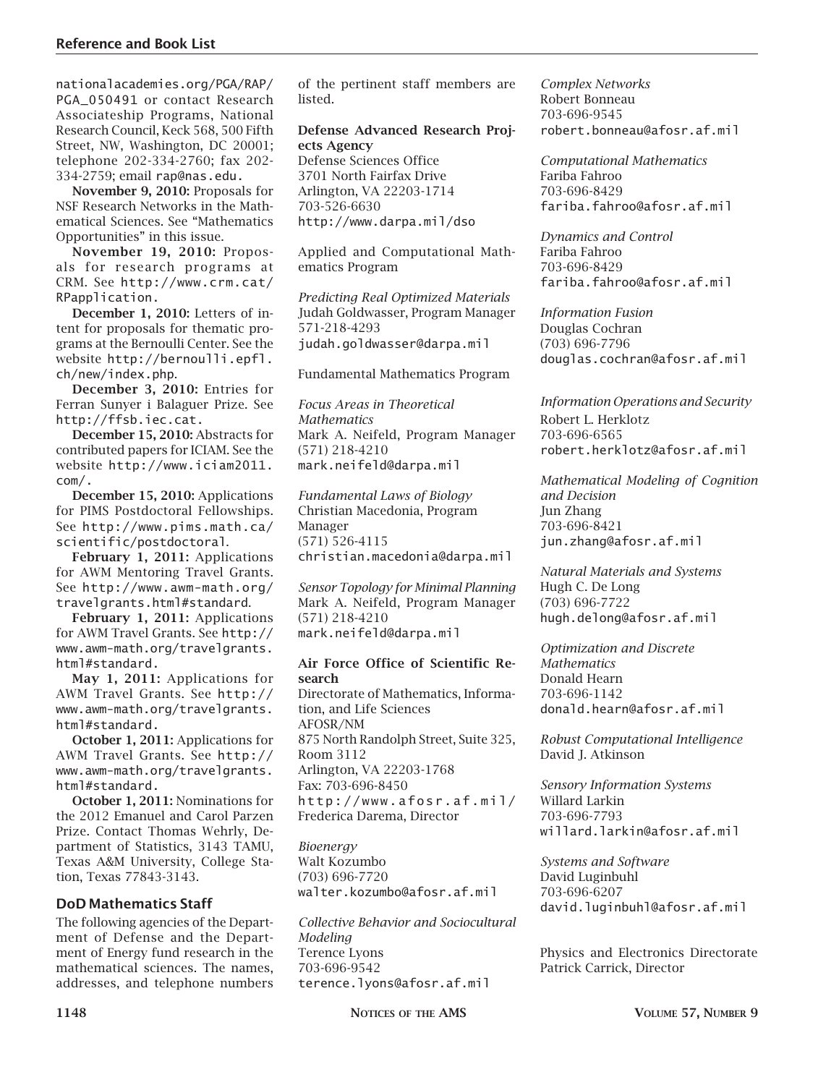nationalacademies.org/PGA/RAP/ PGA\_050491 or contact Research Associateship Programs, National Research Council, Keck 568, 500 Fifth Street, NW, Washington, DC 20001; telephone 202-334-2760; fax 202- 334-2759; email rap@nas.edu.

**November 9, 2010:** Proposals for NSF Research Networks in the Mathematical Sciences. See "Mathematics Opportunities" in this issue.

**November 19, 2010:** Proposals for research programs at CRM. See http://www.crm.cat/ RPapplication.

**December 1, 2010:** Letters of intent for proposals for thematic programs at the Bernoulli Center. See the website http://bernoulli.epfl. ch/new/index.php.

**December 3, 2010:** Entries for Ferran Sunyer i Balaguer Prize. See http://ffsb.iec.cat.

**December 15, 2010:** Abstracts for contributed papers for ICIAM. See the website http://www.iciam2011. com/.

**December 15, 2010:** Applications for PIMS Postdoctoral Fellowships. See http://www.pims.math.ca/ scientific/postdoctoral.

**February 1, 2011:** Applications for AWM Mentoring Travel Grants. See http://www.awm-math.org/ travelgrants.html#standard.

**February 1, 2011:** Applications for AWM Travel Grants. See http:// www.awm-math.org/travelgrants. html#standard.

**May 1, 2011:** Applications for AWM Travel Grants. See http:// www.awm-math.org/travelgrants. html#standard.

**October 1, 2011:** Applications for AWM Travel Grants. See http:// www.awm-math.org/travelgrants. html#standard.

**October 1, 2011:** Nominations for the 2012 Emanuel and Carol Parzen Prize. Contact Thomas Wehrly, Department of Statistics, 3143 TAMU, Texas A&M University, College Station, Texas 77843-3143.

## **DoD Mathematics Staff**

The following agencies of the Department of Defense and the Department of Energy fund research in the mathematical sciences. The names, addresses, and telephone numbers

of the pertinent staff members are listed.

## **Defense Advanced Research Projects Agency**

Defense Sciences Office 3701 North Fairfax Drive Arlington, VA 22203-1714 703-526-6630 http://www.darpa.mil/dso

Applied and Computational Mathematics Program

*Predicting Real Optimized Materials* Judah Goldwasser, Program Manager 571-218-4293 judah.goldwasser@darpa.mil

Fundamental Mathematics Program

*Focus Areas in Theoretical Mathematics* Mark A. Neifeld, Program Manager (571) 218-4210 mark.neifeld@darpa.mil

*Fundamental Laws of Biology* Christian Macedonia, Program Manager (571) 526-4115 christian.macedonia@darpa.mil

*Sensor Topology for Minimal Planning* Mark A. Neifeld, Program Manager (571) 218-4210 mark.neifeld@darpa.mil

#### **Air Force Office of Scientific Research**

Directorate of Mathematics, Information, and Life Sciences AFOSR/NM 875 North Randolph Street, Suite 325, Room 3112 Arlington, VA 22203-1768 Fax: 703-696-8450 http://www.afosr.af.mil/ Frederica Darema, Director

*Bioenergy* Walt Kozumbo (703) 696-7720 walter.kozumbo@afosr.af.mil

*Collective Behavior and Sociocultural Modeling* Terence Lyons 703-696-9542 terence.lyons@afosr.af.mil

*Complex Networks* Robert Bonneau 703-696-9545 robert.bonneau@afosr.af.mil

*Computational Mathematics* Fariba Fahroo 703-696-8429 fariba.fahroo@afosr.af.mil

*Dynamics and Control* Fariba Fahroo 703-696-8429 fariba.fahroo@afosr.af.mil

*Information Fusion* Douglas Cochran (703) 696-7796 douglas.cochran@afosr.af.mil

*Information Operations and Security* Robert L. Herklotz 703-696-6565 robert.herklotz@afosr.af.mil

*Mathematical Modeling of Cognition and Decision* Jun Zhang 703-696-8421 jun.zhang@afosr.af.mil

*Natural Materials and Systems* Hugh C. De Long (703) 696-7722 hugh.delong@afosr.af.mil

*Optimization and Discrete Mathematics* Donald Hearn 703-696-1142 donald.hearn@afosr.af.mil

*Robust Computational Intelligence* David J. Atkinson

*Sensory Information Systems* Willard Larkin 703-696-7793 willard.larkin@afosr.af.mil

*Systems and Software* David Luginbuhl 703-696-6207 david.luginbuhl@afosr.af.mil

Physics and Electronics Directorate Patrick Carrick, Director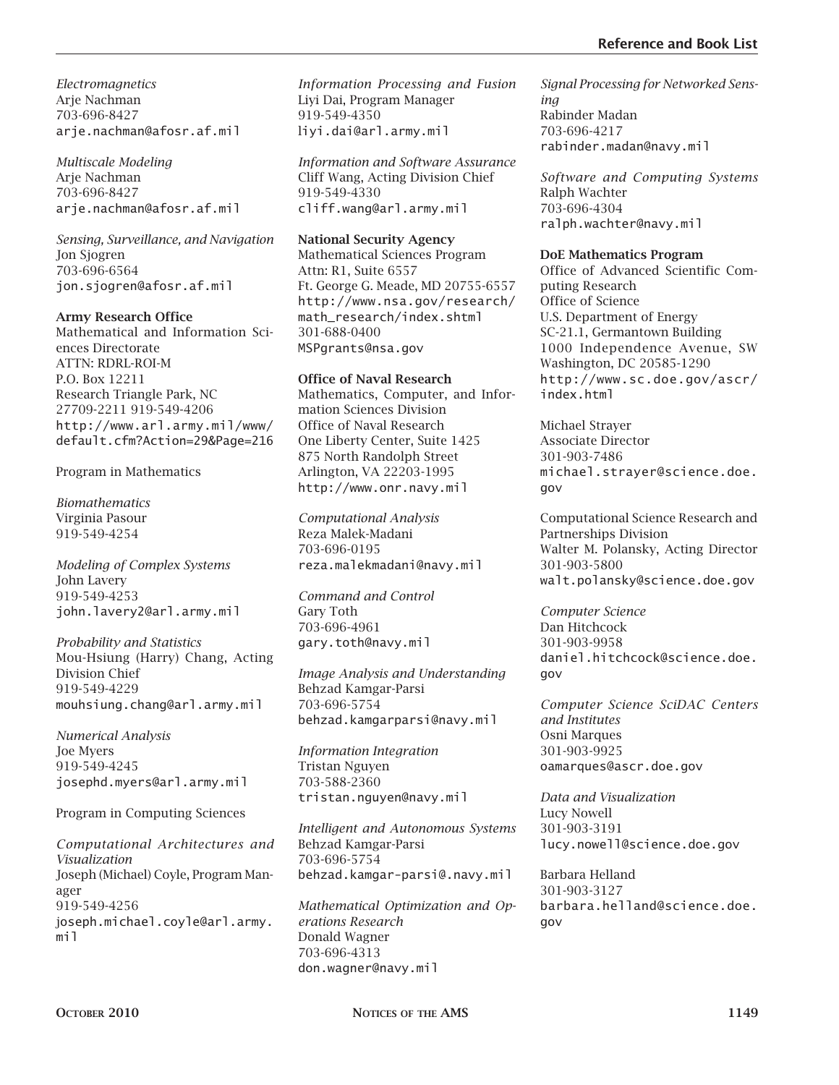*Electromagnetics* Arje Nachman 703-696-8427 arje.nachman@afosr.af.mil

*Multiscale Modeling* Arje Nachman 703-696-8427 arje.nachman@afosr.af.mil

*Sensing, Surveillance, and Navigation* Jon Sjogren 703-696-6564 jon.sjogren@afosr.af.mil

## **Army Research Office**

Mathematical and Information Sciences Directorate ATTN: RDRL-ROI-M P.O. Box 12211 Research Triangle Park, NC 27709-2211 919-549-4206 http://www.arl.army.mil/www/ default.cfm?Action=29&Page=216

Program in Mathematics

*Biomathematics* Virginia Pasour 919-549-4254

*Modeling of Complex Systems* John Lavery 919-549-4253 john.lavery2@arl.army.mil

*Probability and Statistics* Mou-Hsiung (Harry) Chang, Acting Division Chief 919-549-4229 mouhsiung.chang@arl.army.mil

*Numerical Analysis* Joe Myers 919-549-4245 josephd.myers@arl.army.mil

Program in Computing Sciences

*Computational Architectures and Visualization* Joseph (Michael) Coyle, Program Manager 919-549-4256 joseph.michael.coyle@arl.army. mil

*Information Processing and Fusion*  Liyi Dai, Program Manager 919-549-4350 liyi.dai@arl.army.mil

*Information and Software Assurance* Cliff Wang, Acting Division Chief 919-549-4330 cliff.wang@arl.army.mil

## **National Security Agency**

Mathematical Sciences Program Attn: R1, Suite 6557 Ft. George G. Meade, MD 20755-6557 http://www.nsa.gov/research/ math\_research/index.shtml 301-688-0400 MSPgrants@nsa.gov

## **Office of Naval Research**

Mathematics, Computer, and Information Sciences Division Office of Naval Research One Liberty Center, Suite 1425 875 North Randolph Street Arlington, VA 22203-1995 http://www.onr.navy.mil

*Computational Analysis* Reza Malek-Madani 703-696-0195 reza.malekmadani@navy.mil

*Command and Control* Gary Toth 703-696-4961 gary.toth@navy.mil

*Image Analysis and Understanding* Behzad Kamgar-Parsi 703-696-5754 behzad.kamgarparsi@navy.mil

*Information Integration* Tristan Nguyen 703-588-2360 tristan.nguyen@navy.mil

*Intelligent and Autonomous Systems* Behzad Kamgar-Parsi 703-696-5754 behzad.kamgar-parsi@.navy.mil

*Mathematical Optimization and Operations Research* Donald Wagner 703-696-4313 don.wagner@navy.mil

*Signal Processing for Networked Sensing* Rabinder Madan 703-696-4217 rabinder.madan@navy.mil

*Software and Computing Systems*  Ralph Wachter 703-696-4304 ralph.wachter@navy.mil

#### **DoE Mathematics Program**

Office of Advanced Scientific Computing Research Office of Science U.S. Department of Energy SC-21.1, Germantown Building 1000 Independence Avenue, SW Washington, DC 20585-1290 http://www.sc.doe.gov/ascr/ index.html

Michael Strayer Associate Director 301-903-7486 michael.strayer@science.doe. gov

Computational Science Research and Partnerships Division Walter M. Polansky, Acting Director 301-903-5800 walt.polansky@science.doe.gov

*Computer Science* Dan Hitchcock 301-903-9958 daniel.hitchcock@science.doe. gov

*Computer Science SciDAC Centers and Institutes* Osni Marques 301-903-9925 oamarques@ascr.doe.gov

*Data and Visualization* Lucy Nowell 301-903-3191 lucy.nowell@science.doe.gov

Barbara Helland 301-903-3127 barbara.helland@science.doe. gov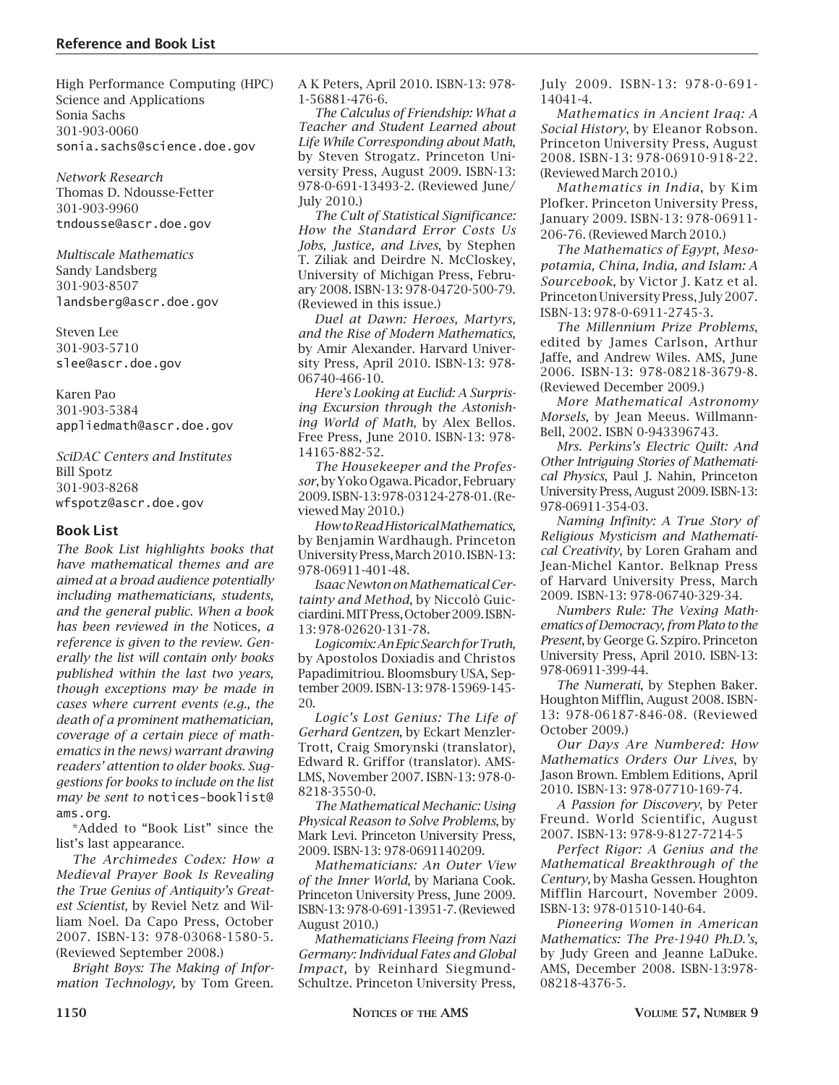High Performance Computing (HPC) Science and Applications Sonia Sachs 301-903-0060 sonia.sachs@science.doe.gov

*Network Research* Thomas D. Ndousse-Fetter 301-903-9960 tndousse@ascr.doe.gov

*Multiscale Mathematics* Sandy Landsberg 301-903-8507 landsberg@ascr.doe.gov

Steven Lee 301-903-5710 slee@ascr.doe.gov

Karen Pao 301-903-5384 appliedmath@ascr.doe.gov

*SciDAC Centers and Institutes* Bill Spotz 301-903-8268 wfspotz@ascr.doe.gov

#### **Book List**

*The Book List highlights books that have mathematical themes and are aimed at a broad audience potentially including mathematicians, students, and the general public. When a book has been reviewed in the* Notices*, a reference is given to the review. Generally the list will contain only books published within the last two years, though exceptions may be made in cases where current events (e.g., the death of a prominent mathematician, coverage of a certain piece of mathematics in the news) warrant drawing readers' attention to older books. Suggestions for books to include on the list may be sent to* notices-booklist@ ams.org.

\*Added to "Book List" since the list's last appearance.

*The Archimedes Codex: How a Medieval Prayer Book Is Revealing the True Genius of Antiquity's Greatest Scientist*, by Reviel Netz and William Noel. Da Capo Press, October 2007. ISBN-13: 978-03068-1580-5. (Reviewed September 2008.)

*Bright Boys: The Making of Information Technology,* by Tom Green. A K Peters, April 2010. ISBN-13: 978- 1-56881-476-6.

*The Calculus of Friendship: What a Teacher and Student Learned about Life While Corresponding about Math*, by Steven Strogatz. Princeton University Press, August 2009. ISBN-13: 978-0-691-13493-2. (Reviewed June/ July 2010.)

*The Cult of Statistical Significance: How the Standard Error Costs Us Jobs, Justice, and Lives*, by Stephen T. Ziliak and Deirdre N. McCloskey, University of Michigan Press, February 2008. ISBN-13: 978-04720-500-79. (Reviewed in this issue.)

*Duel at Dawn: Heroes, Martyrs, and the Rise of Modern Mathematics,*  by Amir Alexander. Harvard University Press, April 2010. ISBN-13: 978- 06740-466-10.

*Here's Looking at Euclid: A Surprising Excursion through the Astonishing World of Math*, by Alex Bellos. Free Press, June 2010. ISBN-13: 978- 14165-882-52.

*The Housekeeper and the Professor*, by Yoko Ogawa. Picador, February 2009. ISBN-13: 978-03124-278-01. (Reviewed May 2010.)

*How to Read Historical Mathematics,*  by Benjamin Wardhaugh. Princeton University Press, March 2010. ISBN-13: 978-06911-401-48.

*Isaac Newton on Mathematical Certainty and Method*, by Niccolò Guicciardini. MIT Press, October 2009. ISBN-13: 978-02620-131-78.

*Logicomix: An Epic Search for Truth,*  by Apostolos Doxiadis and Christos Papadimitriou. Bloomsbury USA, September 2009. ISBN-13: 978-15969-145- 20.

*Logic's Lost Genius: The Life of Gerhard Gentzen*, by Eckart Menzler-Trott, Craig Smorynski (translator), Edward R. Griffor (translator). AMS-LMS, November 2007. ISBN-13: 978-0- 8218-3550-0.

*The Mathematical Mechanic: Using Physical Reason to Solve Problems*, by Mark Levi. Princeton University Press, 2009. ISBN-13: 978-0691140209.

*Mathematicians: An Outer View of the Inner World*, by Mariana Cook. Princeton University Press, June 2009. ISBN-13: 978-0-691-13951-7. (Reviewed August 2010.)

*Mathematicians Fleeing from Nazi Germany: Individual Fates and Global Impact,* by Reinhard Siegmund-Schultze. Princeton University Press,

July 2009. ISBN-13: 978-0-691- 14041-4.

*Mathematics in Ancient Iraq: A Social History*, by Eleanor Robson. Princeton University Press, August 2008. ISBN-13: 978-06910-918-22. (Reviewed March 2010.)

*Mathematics in India*, by Kim Plofker. Princeton University Press, January 2009. ISBN-13: 978-06911- 206-76. (Reviewed March 2010.)

*The Mathematics of Egypt, Mesopotamia, China, India, and Islam: A Sourcebook*, by Victor J. Katz et al. Princeton University Press, July 2007. ISBN-13: 978-0-6911-2745-3.

*The Millennium Prize Problems*, edited by James Carlson, Arthur Jaffe, and Andrew Wiles. AMS, June 2006. ISBN-13: 978-08218-3679-8. (Reviewed December 2009.)

*More Mathematical Astronomy Morsels*, by Jean Meeus. Willmann-Bell, 2002. ISBN 0-943396743.

*Mrs. Perkins's Electric Quilt: And Other Intriguing Stories of Mathematical Physics*, Paul J. Nahin, Princeton University Press, August 2009. ISBN-13: 978-06911-354-03.

*Naming Infinity: A True Story of Religious Mysticism and Mathematical Creativity*, by Loren Graham and Jean-Michel Kantor. Belknap Press of Harvard University Press, March 2009. ISBN-13: 978-06740-329-34.

*Numbers Rule: The Vexing Mathematics of Democracy, from Plato to the Present*, by George G. Szpiro. Princeton University Press, April 2010. ISBN-13: 978-06911-399-44.

*The Numerati*, by Stephen Baker. Houghton Mifflin, August 2008. ISBN-13: 978-06187-846-08. (Reviewed October 2009.)

*Our Days Are Numbered: How Mathematics Orders Our Lives*, by Jason Brown. Emblem Editions, April 2010. ISBN-13: 978-07710-169-74.

*A Passion for Discovery*, by Peter Freund. World Scientific, August 2007. ISBN-13: 978-9-8127-7214-5

*Perfect Rigor: A Genius and the Mathematical Breakthrough of the Century,* by Masha Gessen. Houghton Mifflin Harcourt, November 2009. ISBN-13: 978-01510-140-64.

*Pioneering Women in American Mathematics: The Pre-1940 Ph.D.'s,* by Judy Green and Jeanne LaDuke. AMS, December 2008. ISBN-13:978- 08218-4376-5.